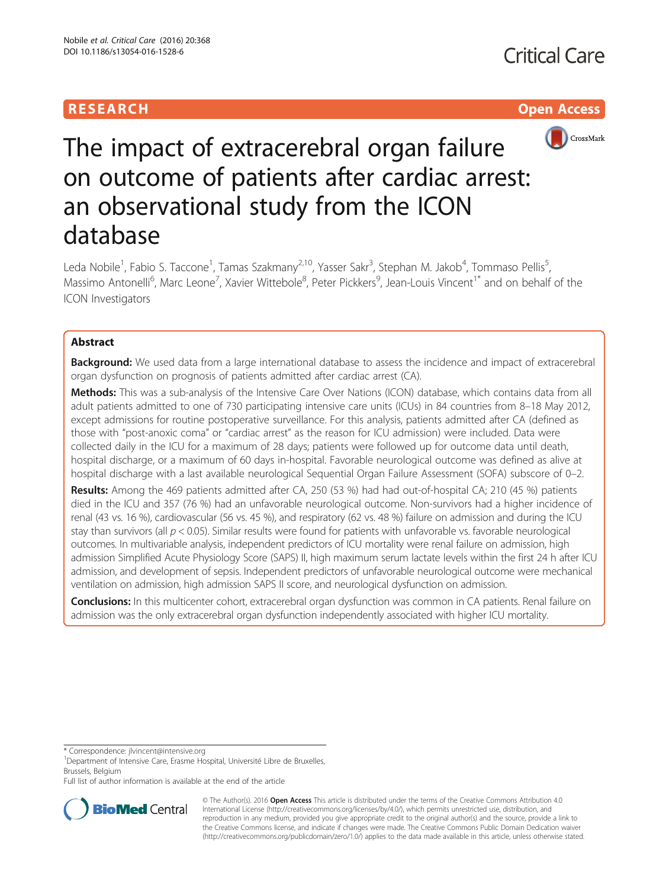## **RESEARCH CHILD CONTROL** CONTROL CONTROL CONTROL CONTROL CONTROL CONTROL CONTROL CONTROL CONTROL CONTROL CONTROL CONTROL CONTROL CONTROL CONTROL CONTROL CONTROL CONTROL CONTROL CONTROL CONTROL CONTROL CONTROL CONTROL CONTR



# The impact of extracerebral organ failure on outcome of patients after cardiac arrest: an observational study from the ICON database

Leda Nobile<sup>1</sup>, Fabio S. Taccone<sup>1</sup>, Tamas Szakmany<sup>2,10</sup>, Yasser Sakr<sup>3</sup>, Stephan M. Jakob<sup>4</sup>, Tommaso Pellis<sup>5</sup> , Massimo Antonelli<sup>6</sup>, Marc Leone<sup>7</sup>, Xavier Wittebole<sup>8</sup>, Peter Pickkers<sup>9</sup>, Jean-Louis Vincent<sup>1\*</sup> and on behalf of the ICON Investigators

### Abstract

**Background:** We used data from a large international database to assess the incidence and impact of extracerebral organ dysfunction on prognosis of patients admitted after cardiac arrest (CA).

Methods: This was a sub-analysis of the Intensive Care Over Nations (ICON) database, which contains data from all adult patients admitted to one of 730 participating intensive care units (ICUs) in 84 countries from 8–18 May 2012, except admissions for routine postoperative surveillance. For this analysis, patients admitted after CA (defined as those with "post-anoxic coma" or "cardiac arrest" as the reason for ICU admission) were included. Data were collected daily in the ICU for a maximum of 28 days; patients were followed up for outcome data until death, hospital discharge, or a maximum of 60 days in-hospital. Favorable neurological outcome was defined as alive at hospital discharge with a last available neurological Sequential Organ Failure Assessment (SOFA) subscore of 0–2.

Results: Among the 469 patients admitted after CA, 250 (53 %) had had out-of-hospital CA; 210 (45 %) patients died in the ICU and 357 (76 %) had an unfavorable neurological outcome. Non-survivors had a higher incidence of renal (43 vs. 16 %), cardiovascular (56 vs. 45 %), and respiratory (62 vs. 48 %) failure on admission and during the ICU stay than survivors (all  $p < 0.05$ ). Similar results were found for patients with unfavorable vs. favorable neurological outcomes. In multivariable analysis, independent predictors of ICU mortality were renal failure on admission, high admission Simplified Acute Physiology Score (SAPS) II, high maximum serum lactate levels within the first 24 h after ICU admission, and development of sepsis. Independent predictors of unfavorable neurological outcome were mechanical ventilation on admission, high admission SAPS II score, and neurological dysfunction on admission.

Conclusions: In this multicenter cohort, extracerebral organ dysfunction was common in CA patients. Renal failure on admission was the only extracerebral organ dysfunction independently associated with higher ICU mortality.

\* Correspondence: [jlvincent@intensive.org](mailto:jlvincent@intensive.org) <sup>1</sup>

<sup>1</sup>Department of Intensive Care, Erasme Hospital, Université Libre de Bruxelles, Brussels, Belgium

Full list of author information is available at the end of the article



© The Author(s). 2016 Open Access This article is distributed under the terms of the Creative Commons Attribution 4.0 International License [\(http://creativecommons.org/licenses/by/4.0/](http://creativecommons.org/licenses/by/4.0/)), which permits unrestricted use, distribution, and reproduction in any medium, provided you give appropriate credit to the original author(s) and the source, provide a link to the Creative Commons license, and indicate if changes were made. The Creative Commons Public Domain Dedication waiver [\(http://creativecommons.org/publicdomain/zero/1.0/](http://creativecommons.org/publicdomain/zero/1.0/)) applies to the data made available in this article, unless otherwise stated.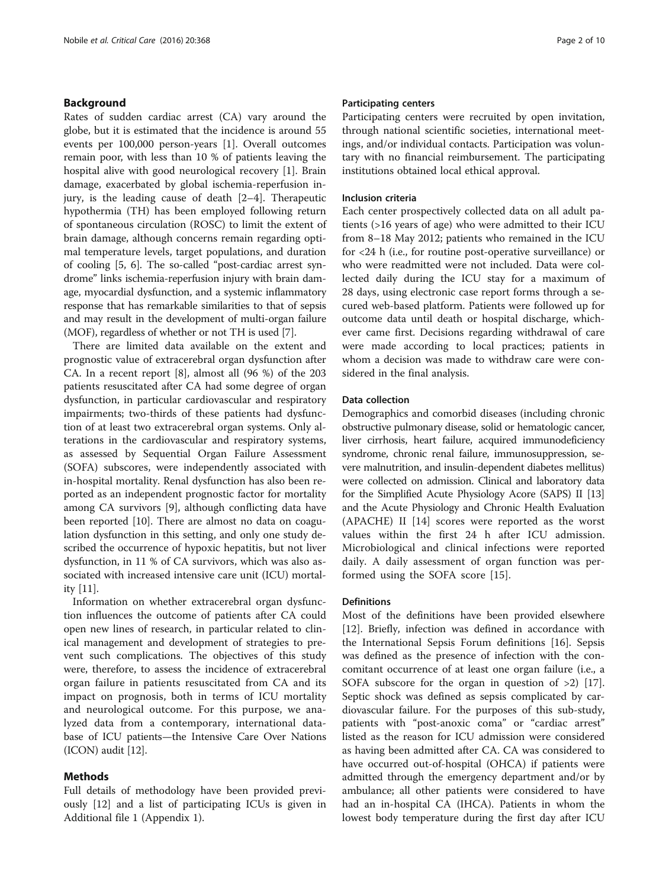#### Background

Rates of sudden cardiac arrest (CA) vary around the globe, but it is estimated that the incidence is around 55 events per 100,000 person-years [[1](#page-8-0)]. Overall outcomes remain poor, with less than 10 % of patients leaving the hospital alive with good neurological recovery [[1\]](#page-8-0). Brain damage, exacerbated by global ischemia-reperfusion injury, is the leading cause of death [\[2](#page-8-0)–[4\]](#page-8-0). Therapeutic hypothermia (TH) has been employed following return of spontaneous circulation (ROSC) to limit the extent of brain damage, although concerns remain regarding optimal temperature levels, target populations, and duration of cooling [\[5](#page-8-0), [6](#page-8-0)]. The so-called "post-cardiac arrest syndrome" links ischemia-reperfusion injury with brain damage, myocardial dysfunction, and a systemic inflammatory response that has remarkable similarities to that of sepsis and may result in the development of multi-organ failure (MOF), regardless of whether or not TH is used [\[7\]](#page-8-0).

There are limited data available on the extent and prognostic value of extracerebral organ dysfunction after CA. In a recent report [[8\]](#page-8-0), almost all (96 %) of the 203 patients resuscitated after CA had some degree of organ dysfunction, in particular cardiovascular and respiratory impairments; two-thirds of these patients had dysfunction of at least two extracerebral organ systems. Only alterations in the cardiovascular and respiratory systems, as assessed by Sequential Organ Failure Assessment (SOFA) subscores, were independently associated with in-hospital mortality. Renal dysfunction has also been reported as an independent prognostic factor for mortality among CA survivors [\[9](#page-8-0)], although conflicting data have been reported [\[10\]](#page-8-0). There are almost no data on coagulation dysfunction in this setting, and only one study described the occurrence of hypoxic hepatitis, but not liver dysfunction, in 11 % of CA survivors, which was also associated with increased intensive care unit (ICU) mortality [[11\]](#page-8-0).

Information on whether extracerebral organ dysfunction influences the outcome of patients after CA could open new lines of research, in particular related to clinical management and development of strategies to prevent such complications. The objectives of this study were, therefore, to assess the incidence of extracerebral organ failure in patients resuscitated from CA and its impact on prognosis, both in terms of ICU mortality and neurological outcome. For this purpose, we analyzed data from a contemporary, international database of ICU patients—the Intensive Care Over Nations (ICON) audit [\[12\]](#page-9-0).

#### Methods

Full details of methodology have been provided previously [[12\]](#page-9-0) and a list of participating ICUs is given in Additional file [1](#page-8-0) (Appendix 1).

#### Participating centers

Participating centers were recruited by open invitation, through national scientific societies, international meetings, and/or individual contacts. Participation was voluntary with no financial reimbursement. The participating institutions obtained local ethical approval.

#### Inclusion criteria

Each center prospectively collected data on all adult patients (>16 years of age) who were admitted to their ICU from 8–18 May 2012; patients who remained in the ICU for <24 h (i.e., for routine post-operative surveillance) or who were readmitted were not included. Data were collected daily during the ICU stay for a maximum of 28 days, using electronic case report forms through a secured web-based platform. Patients were followed up for outcome data until death or hospital discharge, whichever came first. Decisions regarding withdrawal of care were made according to local practices; patients in whom a decision was made to withdraw care were considered in the final analysis.

#### Data collection

Demographics and comorbid diseases (including chronic obstructive pulmonary disease, solid or hematologic cancer, liver cirrhosis, heart failure, acquired immunodeficiency syndrome, chronic renal failure, immunosuppression, severe malnutrition, and insulin-dependent diabetes mellitus) were collected on admission. Clinical and laboratory data for the Simplified Acute Physiology Acore (SAPS) II [[13](#page-9-0)] and the Acute Physiology and Chronic Health Evaluation (APACHE) II [\[14](#page-9-0)] scores were reported as the worst values within the first 24 h after ICU admission. Microbiological and clinical infections were reported daily. A daily assessment of organ function was performed using the SOFA score [[15\]](#page-9-0).

#### **Definitions**

Most of the definitions have been provided elsewhere [[12\]](#page-9-0). Briefly, infection was defined in accordance with the International Sepsis Forum definitions [[16\]](#page-9-0). Sepsis was defined as the presence of infection with the concomitant occurrence of at least one organ failure (i.e., a SOFA subscore for the organ in question of >2) [\[17](#page-9-0)]. Septic shock was defined as sepsis complicated by cardiovascular failure. For the purposes of this sub-study, patients with "post-anoxic coma" or "cardiac arrest" listed as the reason for ICU admission were considered as having been admitted after CA. CA was considered to have occurred out-of-hospital (OHCA) if patients were admitted through the emergency department and/or by ambulance; all other patients were considered to have had an in-hospital CA (IHCA). Patients in whom the lowest body temperature during the first day after ICU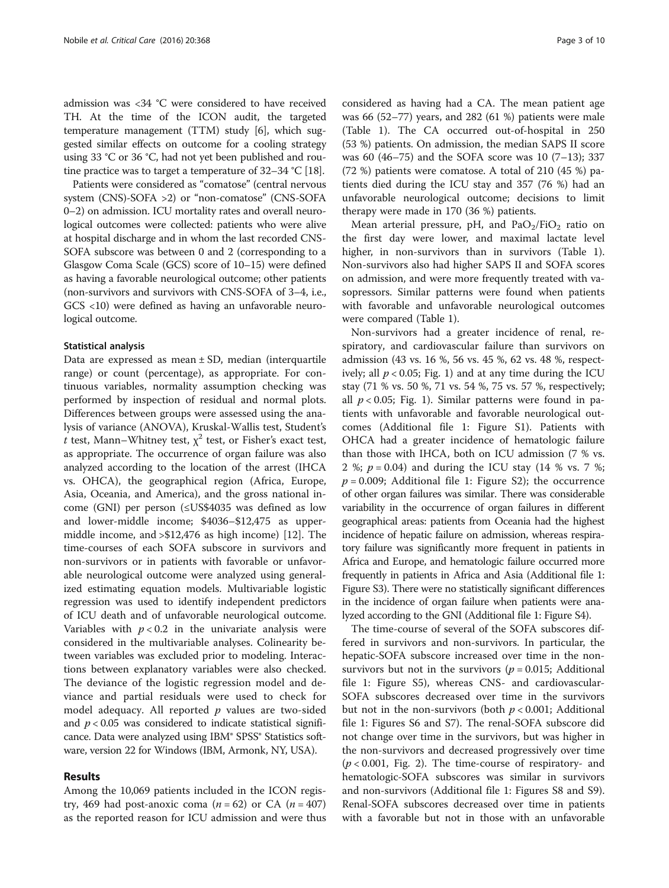admission was <34 °C were considered to have received TH. At the time of the ICON audit, the targeted temperature management (TTM) study [[6\]](#page-8-0), which suggested similar effects on outcome for a cooling strategy using 33 °C or 36 °C, had not yet been published and routine practice was to target a temperature of 32–34 °C [\[18\]](#page-9-0).

Patients were considered as "comatose" (central nervous system (CNS)-SOFA >2) or "non-comatose" (CNS-SOFA 0–2) on admission. ICU mortality rates and overall neurological outcomes were collected: patients who were alive at hospital discharge and in whom the last recorded CNS-SOFA subscore was between 0 and 2 (corresponding to a Glasgow Coma Scale (GCS) score of 10–15) were defined as having a favorable neurological outcome; other patients (non-survivors and survivors with CNS-SOFA of 3–4, i.e., GCS <10) were defined as having an unfavorable neurological outcome.

#### Statistical analysis

Data are expressed as mean  $\pm$  SD, median (interquartile range) or count (percentage), as appropriate. For continuous variables, normality assumption checking was performed by inspection of residual and normal plots. Differences between groups were assessed using the analysis of variance (ANOVA), Kruskal-Wallis test, Student's t test, Mann–Whitney test,  $\chi^2$  test, or Fisher's exact test, as appropriate. The occurrence of organ failure was also analyzed according to the location of the arrest (IHCA vs. OHCA), the geographical region (Africa, Europe, Asia, Oceania, and America), and the gross national income (GNI) per person (≤US\$4035 was defined as low and lower-middle income; \$4036–\$12,475 as uppermiddle income, and >\$12,476 as high income) [[12](#page-9-0)]. The time-courses of each SOFA subscore in survivors and non-survivors or in patients with favorable or unfavorable neurological outcome were analyzed using generalized estimating equation models. Multivariable logistic regression was used to identify independent predictors of ICU death and of unfavorable neurological outcome. Variables with  $p < 0.2$  in the univariate analysis were considered in the multivariable analyses. Colinearity between variables was excluded prior to modeling. Interactions between explanatory variables were also checked. The deviance of the logistic regression model and deviance and partial residuals were used to check for model adequacy. All reported  $p$  values are two-sided and  $p < 0.05$  was considered to indicate statistical significance. Data were analyzed using IBM® SPSS® Statistics software, version 22 for Windows (IBM, Armonk, NY, USA).

#### Results

Among the 10,069 patients included in the ICON registry, 469 had post-anoxic coma  $(n = 62)$  or CA  $(n = 407)$ as the reported reason for ICU admission and were thus considered as having had a CA. The mean patient age was 66 (52–77) years, and 282 (61 %) patients were male (Table [1\)](#page-3-0). The CA occurred out-of-hospital in 250 (53 %) patients. On admission, the median SAPS II score was 60 (46–75) and the SOFA score was 10 (7–13); 337 (72 %) patients were comatose. A total of 210 (45 %) patients died during the ICU stay and 357 (76 %) had an unfavorable neurological outcome; decisions to limit therapy were made in 170 (36 %) patients.

Mean arterial pressure, pH, and  $PaO<sub>2</sub>/FiO<sub>2</sub>$  ratio on the first day were lower, and maximal lactate level higher, in non-survivors than in survivors (Table [1](#page-3-0)). Non-survivors also had higher SAPS II and SOFA scores on admission, and were more frequently treated with vasopressors. Similar patterns were found when patients with favorable and unfavorable neurological outcomes were compared (Table [1\)](#page-3-0).

Non-survivors had a greater incidence of renal, respiratory, and cardiovascular failure than survivors on admission (43 vs. 16 %, 56 vs. 45 %, 62 vs. 48 %, respectively; all  $p < 0.05$ ; Fig. [1\)](#page-4-0) and at any time during the ICU stay (71 % vs. 50 %, 71 vs. 54 %, 75 vs. 57 %, respectively; all  $p < 0.05$ ; Fig. [1](#page-4-0)). Similar patterns were found in patients with unfavorable and favorable neurological outcomes (Additional file [1:](#page-8-0) Figure S1). Patients with OHCA had a greater incidence of hematologic failure than those with IHCA, both on ICU admission (7 % vs. 2 %;  $p = 0.04$ ) and during the ICU stay (14 % vs. 7 %;  $p = 0.009$ ; Additional file [1](#page-8-0): Figure S2); the occurrence of other organ failures was similar. There was considerable variability in the occurrence of organ failures in different geographical areas: patients from Oceania had the highest incidence of hepatic failure on admission, whereas respiratory failure was significantly more frequent in patients in Africa and Europe, and hematologic failure occurred more frequently in patients in Africa and Asia (Additional file [1](#page-8-0): Figure S3). There were no statistically significant differences in the incidence of organ failure when patients were analyzed according to the GNI (Additional file [1:](#page-8-0) Figure S4).

The time-course of several of the SOFA subscores differed in survivors and non-survivors. In particular, the hepatic-SOFA subscore increased over time in the nonsurvivors but not in the survivors ( $p = 0.015$ ; Additional file [1:](#page-8-0) Figure S5), whereas CNS- and cardiovascular-SOFA subscores decreased over time in the survivors but not in the non-survivors (both  $p < 0.001$ ; Additional file [1:](#page-8-0) Figures S6 and S7). The renal-SOFA subscore did not change over time in the survivors, but was higher in the non-survivors and decreased progressively over time  $(p < 0.001$ , Fig. [2\)](#page-5-0). The time-course of respiratory- and hematologic-SOFA subscores was similar in survivors and non-survivors (Additional file [1](#page-8-0): Figures S8 and S9). Renal-SOFA subscores decreased over time in patients with a favorable but not in those with an unfavorable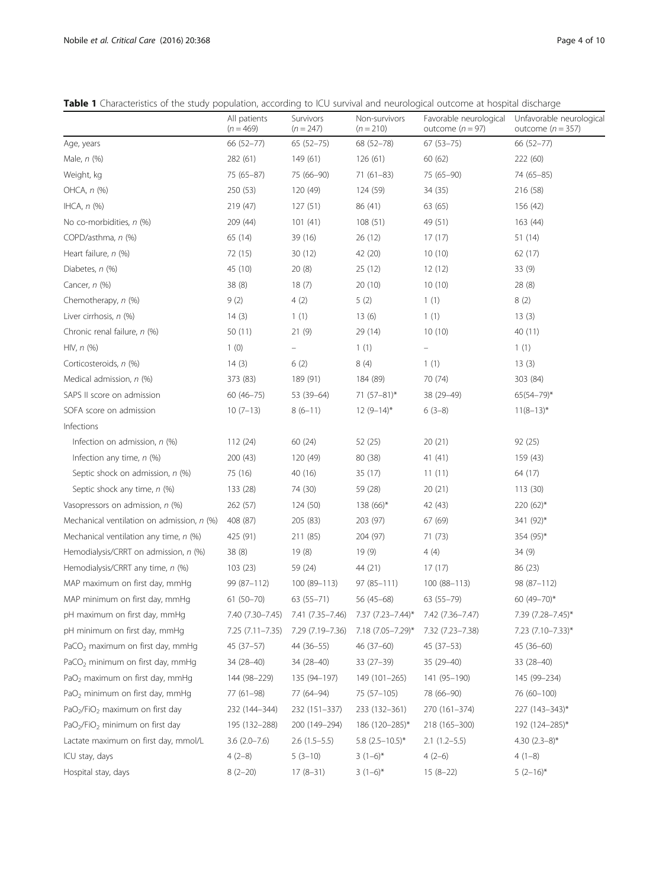<span id="page-3-0"></span>Table 1 Characteristics of the study population, according to ICU survival and neurological outcome at hospital discharge

|                                                         | All patients<br>$(n = 469)$ | Survivors<br>$(n = 247)$ | Non-survivors<br>$(n = 210)$                                         | Favorable neurological<br>outcome $(n = 97)$ | Unfavorable neurological<br>outcome $(n = 357)$ |
|---------------------------------------------------------|-----------------------------|--------------------------|----------------------------------------------------------------------|----------------------------------------------|-------------------------------------------------|
| Age, years                                              | 66 (52-77)                  | $65(52-75)$              | 68 (52-78)                                                           | $67(53 - 75)$                                | 66 (52-77)                                      |
| Male, n (%)                                             | 282 (61)                    | 149 (61)                 | 126(61)                                                              | 60(62)                                       | 222 (60)                                        |
| Weight, kg                                              | 75 (65-87)                  | 75 (66-90)               | $71(61-83)$                                                          | 75 (65-90)                                   | 74 (65-85)                                      |
| OHCA, n (%)                                             | 250 (53)                    | 120 (49)                 | 124 (59)                                                             | 34 (35)                                      | 216 (58)                                        |
| IHCA, $n$ $(\%)$                                        | 219 (47)                    | 127(51)                  | 86 (41)                                                              | 63 (65)                                      | 156 (42)                                        |
| No co-morbidities, n (%)                                | 209 (44)                    | 101(41)                  | 108(51)                                                              | 49 (51)                                      | 163 (44)                                        |
| COPD/asthma, n (%)                                      | 65 (14)                     | 39 (16)                  | 26(12)                                                               | 17(17)                                       | 51 (14)                                         |
| Heart failure, n (%)                                    | 72 (15)                     | 30(12)                   | 42 (20)                                                              | 10(10)                                       | 62(17)                                          |
| Diabetes, n (%)                                         | 45 (10)                     | 20(8)                    | 25(12)                                                               | 12(12)                                       | 33(9)                                           |
| Cancer, n (%)                                           | 38(8)                       | 18(7)                    | 20(10)                                                               | 10(10)                                       | 28(8)                                           |
| Chemotherapy, n (%)                                     | 9(2)                        | 4(2)                     | 5(2)                                                                 | 1(1)                                         | 8(2)                                            |
| Liver cirrhosis, n (%)                                  | 14(3)                       | 1(1)                     | 13(6)                                                                | 1(1)                                         | 13(3)                                           |
| Chronic renal failure, n (%)                            | 50(11)                      | 21(9)                    | 29 (14)                                                              | 10(10)                                       | 40 (11)                                         |
| $HIV, n$ (%)                                            | 1(0)                        |                          | 1(1)                                                                 | $\qquad \qquad -$                            | 1(1)                                            |
| Corticosteroids, n (%)                                  | 14(3)                       | 6(2)                     | 8(4)                                                                 | 1(1)                                         | 13(3)                                           |
| Medical admission, n (%)                                | 373 (83)                    | 189 (91)                 | 184 (89)                                                             | 70 (74)                                      | 303 (84)                                        |
| SAPS II score on admission                              | $60(46 - 75)$               | 53 (39-64)               | 71 $(57-81)^*$                                                       | 38 (29-49)                                   | $65(54 - 79)^{*}$                               |
| SOFA score on admission                                 | $10(7-13)$                  | $8(6-11)$                | $12(9-14)^{*}$                                                       | $6(3-8)$                                     | $11(8-13)^{*}$                                  |
| Infections                                              |                             |                          |                                                                      |                                              |                                                 |
| Infection on admission, $n$ (%)                         | 112(24)                     | 60 (24)                  | 52 (25)                                                              | 20(21)                                       | 92(25)                                          |
| Infection any time, $n$ (%)                             | 200 (43)                    | 120 (49)                 | 80 (38)                                                              | 41(41)                                       | 159 (43)                                        |
| Septic shock on admission, n (%)                        | 75 (16)                     | 40 (16)                  | 35 (17)                                                              | 11(11)                                       | 64 (17)                                         |
| Septic shock any time, n (%)                            | 133 (28)                    | 74 (30)                  | 59 (28)                                                              | 20(21)                                       | 113 (30)                                        |
| Vasopressors on admission, n (%)                        | 262 (57)                    | 124 (50)                 | $138(66)$ *                                                          | 42 (43)                                      | $220(62)$ *                                     |
| Mechanical ventilation on admission, n (%)              | 408 (87)                    | 205 (83)                 | 203 (97)                                                             | 67 (69)                                      | 341 (92)*                                       |
| Mechanical ventilation any time, $n$ (%)                | 425 (91)                    | 211 (85)                 | 204 (97)                                                             | 71 (73)                                      | 354 (95)*                                       |
| Hemodialysis/CRRT on admission, n (%)                   | 38(8)                       | 19(8)                    | 19(9)                                                                | 4(4)                                         | 34(9)                                           |
| Hemodialysis/CRRT any time, n (%)                       | 103(23)                     | 59 (24)                  | 44 (21)                                                              | 17(17)                                       | 86 (23)                                         |
| MAP maximum on first day, mmHq                          | 99 (87-112)                 | 100 (89-113)             | $97(85 - 111)$                                                       | 100 (88-113)                                 | 98 (87-112)                                     |
| MAP minimum on first day, mmHq                          | $61(50 - 70)$               | $63(55 - 71)$            | $56(45-68)$                                                          | 63 (55-79)                                   | 60 (49-70)*                                     |
| pH maximum on first day, mmHg                           |                             |                          | 7.40 (7.30-7.45) 7.41 (7.35-7.46) 7.37 (7.23-7.44)* 7.42 (7.36-7.47) |                                              | 7.39 (7.28-7.45)*                               |
| pH minimum on first day, mmHg                           | 7.25 (7.11–7.35)            | 7.29 (7.19 - 7.36)       | 7.18 (7.05–7.29)*                                                    | 7.32 (7.23–7.38)                             | 7.23 (7.10–7.33)*                               |
| PaCO <sub>2</sub> maximum on first day, mmHq            | $45(37-57)$                 | 44 (36-55)               | $46(37-60)$                                                          | 45 (37-53)                                   | 45 (36-60)                                      |
| PaCO <sub>2</sub> minimum on first day, mmHg            | 34 (28-40)                  | 34 (28-40)               | 33 (27-39)                                                           | 35 (29-40)                                   | 33 (28-40)                                      |
| PaO <sub>2</sub> maximum on first day, mmHg             | 144 (98-229)                | 135 (94-197)             | 149 (101-265)                                                        | 141 (95-190)                                 | 145 (99-234)                                    |
| PaO <sub>2</sub> minimum on first day, mmHg             | 77 (61-98)                  | 77 (64-94)               | 75 (57-105)                                                          | 78 (66-90)                                   | 76 (60-100)                                     |
| PaO <sub>2</sub> /FiO <sub>2</sub> maximum on first day | 232 (144–344)               | 232 (151-337)            | 233 (132–361)                                                        | 270 (161-374)                                | 227 (143-343)*                                  |
| PaO <sub>2</sub> /FiO <sub>2</sub> minimum on first day | 195 (132-288)               | 200 (149-294)            | 186 (120-285)*                                                       | 218 (165-300)                                | 192 (124–285)*                                  |
| Lactate maximum on first day, mmol/L                    | $3.6$ $(2.0 - 7.6)$         | $2.6(1.5-5.5)$           | 5.8 $(2.5 - 10.5)^*$                                                 | $2.1(1.2-5.5)$                               | 4.30 $(2.3-8)$ *                                |
| ICU stay, days                                          | $4(2-8)$                    | $5(3-10)$                | $3(1-6)$ *                                                           | $4(2-6)$                                     | $4(1-8)$                                        |
| Hospital stay, days                                     | $8(2-20)$                   | $17(8-31)$               | $3(1-6)^{*}$                                                         | $15(8-22)$                                   | $5(2-16)^{*}$                                   |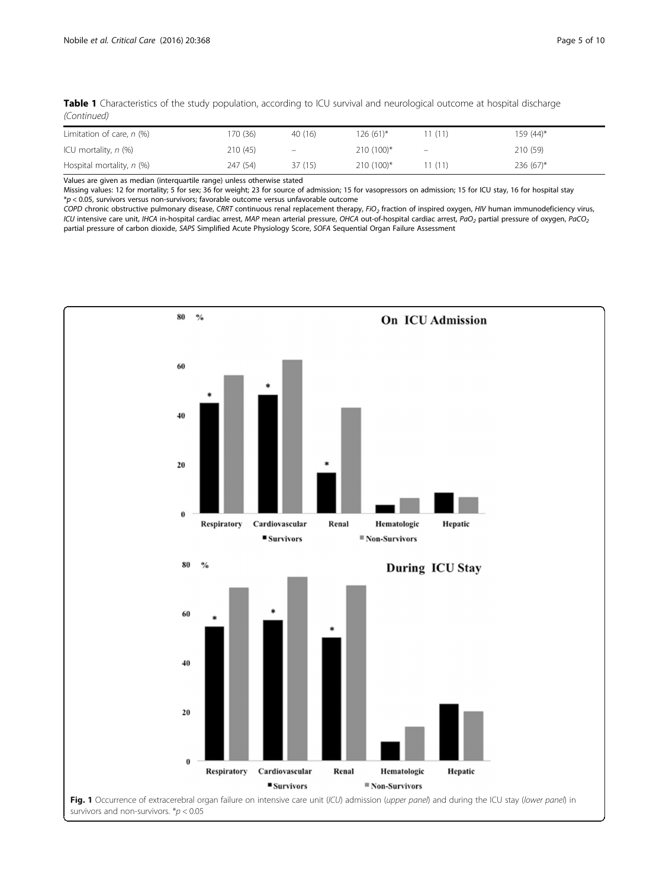<span id="page-4-0"></span>

| Table 1 Characteristics of the study population, according to ICU survival and neurological outcome at hospital discharge |  |  |
|---------------------------------------------------------------------------------------------------------------------------|--|--|
| (Continued)                                                                                                               |  |  |

| Limitation of care, $n$ (%) | 170 (36) | 40 (16) | $126(61)$ * | (11)                           | 159 (44)*   |
|-----------------------------|----------|---------|-------------|--------------------------------|-------------|
| ICU mortality, $n$ (%)      | 210 (45) | $\sim$  | $210(100)*$ | $\qquad \qquad \longleftarrow$ | 210 (59)    |
| Hospital mortality, $n$ (%) | 247 (54) | 37(15)  | $210(100)*$ | (11)                           | $236(67)^*$ |

Values are given as median (interquartile range) unless otherwise stated

Missing values: 12 for mortality; 5 for sex; 36 for weight; 23 for source of admission; 15 for vasopressors on admission; 15 for ICU stay, 16 for hospital stay \*p < 0.05, survivors versus non-survivors; favorable outcome versus unfavorable outcome

COPD chronic obstructive pulmonary disease, CRRT continuous renal replacement therapy, FiO<sub>2</sub> fraction of inspired oxygen, HIV human immunodeficiency virus, ICU intensive care unit, IHCA in-hospital cardiac arrest, MAP mean arterial pressure, OHCA out-of-hospital cardiac arrest, PaO<sub>2</sub> partial pressure of oxygen, PaCO<sub>2</sub> partial pressure of carbon dioxide, SAPS Simplified Acute Physiology Score, SOFA Sequential Organ Failure Assessment

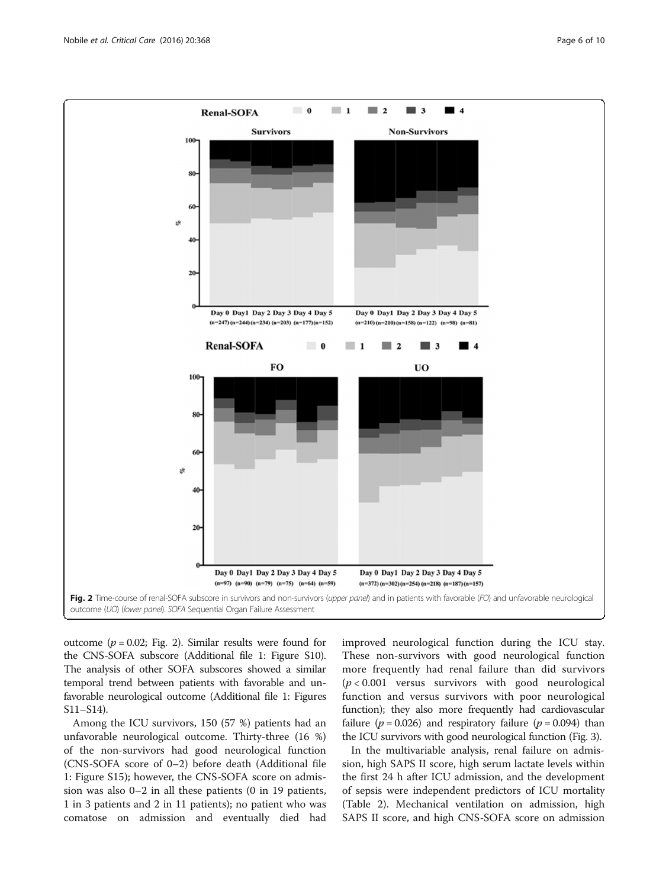<span id="page-5-0"></span>

outcome ( $p = 0.02$ ; Fig. 2). Similar results were found for the CNS-SOFA subscore (Additional file [1:](#page-8-0) Figure S10). The analysis of other SOFA subscores showed a similar temporal trend between patients with favorable and unfavorable neurological outcome (Additional file [1:](#page-8-0) Figures S11–S14).

Among the ICU survivors, 150 (57 %) patients had an unfavorable neurological outcome. Thirty-three (16 %) of the non-survivors had good neurological function (CNS-SOFA score of 0–2) before death (Additional file [1:](#page-8-0) Figure S15); however, the CNS-SOFA score on admission was also 0–2 in all these patients (0 in 19 patients, 1 in 3 patients and 2 in 11 patients); no patient who was comatose on admission and eventually died had

improved neurological function during the ICU stay. These non-survivors with good neurological function more frequently had renal failure than did survivors  $(p < 0.001$  versus survivors with good neurological function and versus survivors with poor neurological function); they also more frequently had cardiovascular failure ( $p = 0.026$ ) and respiratory failure ( $p = 0.094$ ) than the ICU survivors with good neurological function (Fig. [3\)](#page-6-0).

In the multivariable analysis, renal failure on admission, high SAPS II score, high serum lactate levels within the first 24 h after ICU admission, and the development of sepsis were independent predictors of ICU mortality (Table [2](#page-6-0)). Mechanical ventilation on admission, high SAPS II score, and high CNS-SOFA score on admission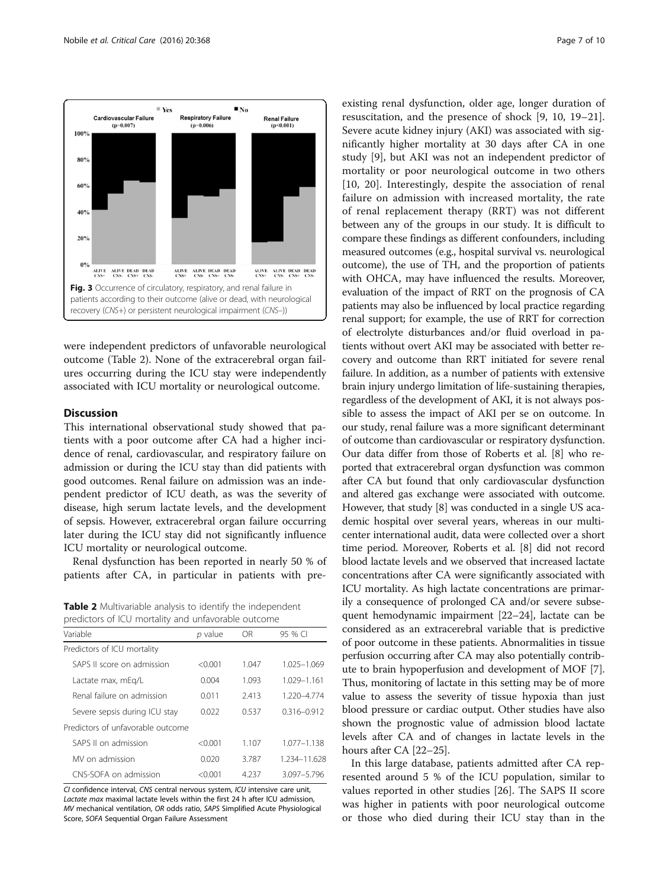<span id="page-6-0"></span>

were independent predictors of unfavorable neurological outcome (Table 2). None of the extracerebral organ failures occurring during the ICU stay were independently associated with ICU mortality or neurological outcome.

#### **Discussion**

This international observational study showed that patients with a poor outcome after CA had a higher incidence of renal, cardiovascular, and respiratory failure on admission or during the ICU stay than did patients with good outcomes. Renal failure on admission was an independent predictor of ICU death, as was the severity of disease, high serum lactate levels, and the development of sepsis. However, extracerebral organ failure occurring later during the ICU stay did not significantly influence ICU mortality or neurological outcome.

Renal dysfunction has been reported in nearly 50 % of patients after CA, in particular in patients with pre-

Table 2 Multivariable analysis to identify the independent predictors of ICU mortality and unfavorable outcome

| Variable                          | p value | OR.     | 95 % CI         |
|-----------------------------------|---------|---------|-----------------|
| Predictors of ICU mortality       |         |         |                 |
| SAPS II score on admission        | < 0.001 | 1 047   | 1.025-1.069     |
| Lactate max, mEg/L                | 0.004   | 1.093   | 1.029-1.161     |
| Renal failure on admission        | 0011    | 2.413   | 1 220-4 774     |
| Severe sepsis during ICU stay     | 0.022   | 0.537   | $0.316 - 0.912$ |
| Predictors of unfavorable outcome |         |         |                 |
| SAPS II on admission              | < 0.001 | 1.107   | $1.077 - 1.138$ |
| MV on admission                   | 0.020   | 3.787   | 1.234-11.628    |
| CNS-SOFA on admission             | < 0.001 | 4 2 3 7 | 3.097-5.796     |

CI confidence interval, CNS central nervous system, ICU intensive care unit, Lactate max maximal lactate levels within the first 24 h after ICU admission, MV mechanical ventilation, OR odds ratio, SAPS Simplified Acute Physiological Score, SOFA Sequential Organ Failure Assessment

existing renal dysfunction, older age, longer duration of resuscitation, and the presence of shock [[9, 10,](#page-8-0) [19](#page-9-0)–[21](#page-9-0)]. Severe acute kidney injury (AKI) was associated with significantly higher mortality at 30 days after CA in one study [\[9](#page-8-0)], but AKI was not an independent predictor of mortality or poor neurological outcome in two others [[10,](#page-8-0) [20\]](#page-9-0). Interestingly, despite the association of renal failure on admission with increased mortality, the rate of renal replacement therapy (RRT) was not different between any of the groups in our study. It is difficult to compare these findings as different confounders, including measured outcomes (e.g., hospital survival vs. neurological outcome), the use of TH, and the proportion of patients with OHCA, may have influenced the results. Moreover, evaluation of the impact of RRT on the prognosis of CA patients may also be influenced by local practice regarding renal support; for example, the use of RRT for correction of electrolyte disturbances and/or fluid overload in patients without overt AKI may be associated with better recovery and outcome than RRT initiated for severe renal failure. In addition, as a number of patients with extensive brain injury undergo limitation of life-sustaining therapies, regardless of the development of AKI, it is not always possible to assess the impact of AKI per se on outcome. In our study, renal failure was a more significant determinant of outcome than cardiovascular or respiratory dysfunction. Our data differ from those of Roberts et al. [\[8\]](#page-8-0) who reported that extracerebral organ dysfunction was common after CA but found that only cardiovascular dysfunction and altered gas exchange were associated with outcome. However, that study [[8\]](#page-8-0) was conducted in a single US academic hospital over several years, whereas in our multicenter international audit, data were collected over a short time period. Moreover, Roberts et al. [[8\]](#page-8-0) did not record blood lactate levels and we observed that increased lactate concentrations after CA were significantly associated with ICU mortality. As high lactate concentrations are primarily a consequence of prolonged CA and/or severe subsequent hemodynamic impairment [[22](#page-9-0)–[24\]](#page-9-0), lactate can be considered as an extracerebral variable that is predictive of poor outcome in these patients. Abnormalities in tissue perfusion occurring after CA may also potentially contribute to brain hypoperfusion and development of MOF [[7](#page-8-0)]. Thus, monitoring of lactate in this setting may be of more value to assess the severity of tissue hypoxia than just blood pressure or cardiac output. Other studies have also shown the prognostic value of admission blood lactate levels after CA and of changes in lactate levels in the hours after CA [\[22](#page-9-0)–[25](#page-9-0)].

In this large database, patients admitted after CA represented around 5 % of the ICU population, similar to values reported in other studies [[26\]](#page-9-0). The SAPS II score was higher in patients with poor neurological outcome or those who died during their ICU stay than in the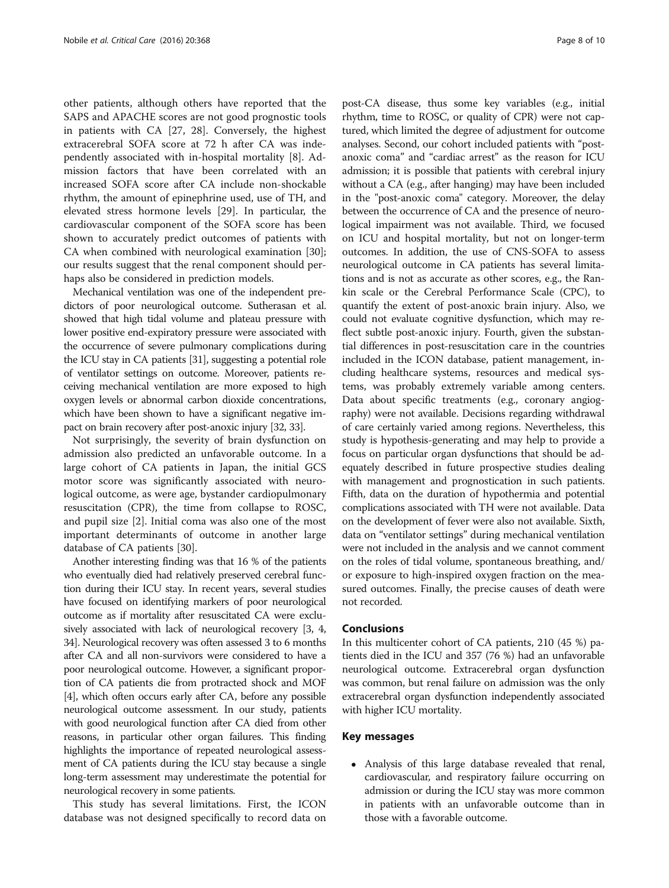other patients, although others have reported that the SAPS and APACHE scores are not good prognostic tools in patients with CA [[27, 28](#page-9-0)]. Conversely, the highest extracerebral SOFA score at 72 h after CA was independently associated with in-hospital mortality [[8](#page-8-0)]. Admission factors that have been correlated with an increased SOFA score after CA include non-shockable rhythm, the amount of epinephrine used, use of TH, and elevated stress hormone levels [[29\]](#page-9-0). In particular, the cardiovascular component of the SOFA score has been shown to accurately predict outcomes of patients with CA when combined with neurological examination [\[30](#page-9-0)]; our results suggest that the renal component should perhaps also be considered in prediction models.

Mechanical ventilation was one of the independent predictors of poor neurological outcome. Sutherasan et al. showed that high tidal volume and plateau pressure with lower positive end-expiratory pressure were associated with the occurrence of severe pulmonary complications during the ICU stay in CA patients [\[31\]](#page-9-0), suggesting a potential role of ventilator settings on outcome. Moreover, patients receiving mechanical ventilation are more exposed to high oxygen levels or abnormal carbon dioxide concentrations, which have been shown to have a significant negative impact on brain recovery after post-anoxic injury [[32](#page-9-0), [33](#page-9-0)].

Not surprisingly, the severity of brain dysfunction on admission also predicted an unfavorable outcome. In a large cohort of CA patients in Japan, the initial GCS motor score was significantly associated with neurological outcome, as were age, bystander cardiopulmonary resuscitation (CPR), the time from collapse to ROSC, and pupil size [[2\]](#page-8-0). Initial coma was also one of the most important determinants of outcome in another large database of CA patients [[30](#page-9-0)].

Another interesting finding was that 16 % of the patients who eventually died had relatively preserved cerebral function during their ICU stay. In recent years, several studies have focused on identifying markers of poor neurological outcome as if mortality after resuscitated CA were exclusively associated with lack of neurological recovery [[3](#page-8-0), [4](#page-8-0), [34](#page-9-0)]. Neurological recovery was often assessed 3 to 6 months after CA and all non-survivors were considered to have a poor neurological outcome. However, a significant proportion of CA patients die from protracted shock and MOF [[4](#page-8-0)], which often occurs early after CA, before any possible neurological outcome assessment. In our study, patients with good neurological function after CA died from other reasons, in particular other organ failures. This finding highlights the importance of repeated neurological assessment of CA patients during the ICU stay because a single long-term assessment may underestimate the potential for neurological recovery in some patients.

This study has several limitations. First, the ICON database was not designed specifically to record data on

post-CA disease, thus some key variables (e.g., initial rhythm, time to ROSC, or quality of CPR) were not captured, which limited the degree of adjustment for outcome analyses. Second, our cohort included patients with "postanoxic coma" and "cardiac arrest" as the reason for ICU admission; it is possible that patients with cerebral injury without a CA (e.g., after hanging) may have been included in the "post-anoxic coma" category. Moreover, the delay between the occurrence of CA and the presence of neurological impairment was not available. Third, we focused on ICU and hospital mortality, but not on longer-term outcomes. In addition, the use of CNS-SOFA to assess neurological outcome in CA patients has several limitations and is not as accurate as other scores, e.g., the Rankin scale or the Cerebral Performance Scale (CPC), to quantify the extent of post-anoxic brain injury. Also, we could not evaluate cognitive dysfunction, which may reflect subtle post-anoxic injury. Fourth, given the substantial differences in post-resuscitation care in the countries included in the ICON database, patient management, including healthcare systems, resources and medical systems, was probably extremely variable among centers. Data about specific treatments (e.g., coronary angiography) were not available. Decisions regarding withdrawal of care certainly varied among regions. Nevertheless, this study is hypothesis-generating and may help to provide a focus on particular organ dysfunctions that should be adequately described in future prospective studies dealing with management and prognostication in such patients. Fifth, data on the duration of hypothermia and potential complications associated with TH were not available. Data on the development of fever were also not available. Sixth, data on "ventilator settings" during mechanical ventilation were not included in the analysis and we cannot comment on the roles of tidal volume, spontaneous breathing, and/ or exposure to high-inspired oxygen fraction on the measured outcomes. Finally, the precise causes of death were not recorded.

#### Conclusions

In this multicenter cohort of CA patients, 210 (45 %) patients died in the ICU and 357 (76 %) had an unfavorable neurological outcome. Extracerebral organ dysfunction was common, but renal failure on admission was the only extracerebral organ dysfunction independently associated with higher ICU mortality.

#### Key messages

 Analysis of this large database revealed that renal, cardiovascular, and respiratory failure occurring on admission or during the ICU stay was more common in patients with an unfavorable outcome than in those with a favorable outcome.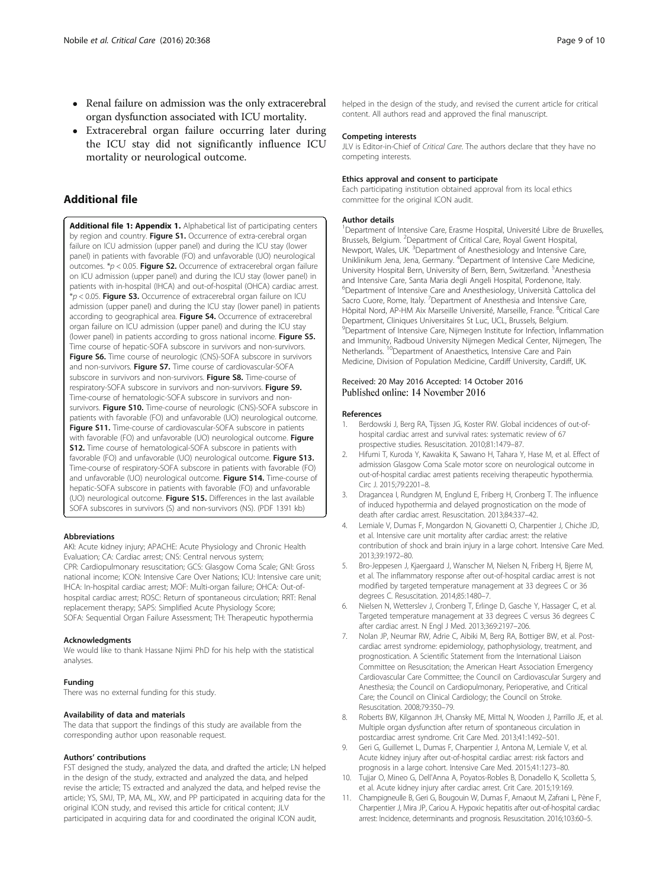- <span id="page-8-0"></span>• Renal failure on admission was the only extracerebral organ dysfunction associated with ICU mortality.
- Extracerebral organ failure occurring later during the ICU stay did not significantly influence ICU mortality or neurological outcome.

#### Additional file

[Additional file 1: Appendix 1.](dx.doi.org/10.1186/s13054-016-1528-6) Alphabetical list of participating centers by region and country. Figure S1. Occurrence of extra-cerebral organ failure on ICU admission (upper panel) and during the ICU stay (lower panel) in patients with favorable (FO) and unfavorable (UO) neurological outcomes.  $p < 0.05$ . Figure S2. Occurrence of extracerebral organ failure on ICU admission (upper panel) and during the ICU stay (lower panel) in patients with in-hospital (IHCA) and out-of-hospital (OHCA) cardiac arrest.  $*p < 0.05$ . Figure S3. Occurrence of extracerebral organ failure on ICU admission (upper panel) and during the ICU stay (lower panel) in patients according to geographical area. Figure S4. Occurrence of extracerebral organ failure on ICU admission (upper panel) and during the ICU stay (lower panel) in patients according to gross national income. Figure S5. Time course of hepatic-SOFA subscore in survivors and non-survivors. Figure S6. Time course of neurologic (CNS)-SOFA subscore in survivors and non-survivors. Figure S7. Time course of cardiovascular-SOFA subscore in survivors and non-survivors. Figure S8. Time-course of respiratory-SOFA subscore in survivors and non-survivors. Figure S9. Time-course of hematologic-SOFA subscore in survivors and nonsurvivors. Figure S10. Time-course of neurologic (CNS)-SOFA subscore in patients with favorable (FO) and unfavorable (UO) neurological outcome. Figure S11. Time-course of cardiovascular-SOFA subscore in patients with favorable (FO) and unfavorable (UO) neurological outcome. Figure S12. Time course of hematological-SOFA subscore in patients with favorable (FO) and unfavorable (UO) neurological outcome. Figure S13. Time-course of respiratory-SOFA subscore in patients with favorable (FO) and unfavorable (UO) neurological outcome. Figure S14. Time-course of hepatic-SOFA subscore in patients with favorable (FO) and unfavorable (UO) neurological outcome. Figure S15. Differences in the last available SOFA subscores in survivors (S) and non-survivors (NS). (PDF 1391 kb)

#### Abbreviations

AKI: Acute kidney injury; APACHE: Acute Physiology and Chronic Health Evaluation; CA: Cardiac arrest; CNS: Central nervous system; CPR: Cardiopulmonary resuscitation; GCS: Glasgow Coma Scale; GNI: Gross national income; ICON: Intensive Care Over Nations; ICU: Intensive care unit; IHCA: In-hospital cardiac arrest; MOF: Multi-organ failure; OHCA: Out-ofhospital cardiac arrest; ROSC: Return of spontaneous circulation; RRT: Renal replacement therapy; SAPS: Simplified Acute Physiology Score; SOFA: Sequential Organ Failure Assessment; TH: Therapeutic hypothermia

#### Acknowledgments

We would like to thank Hassane Njimi PhD for his help with the statistical analyses.

#### Funding

There was no external funding for this study.

#### Availability of data and materials

The data that support the findings of this study are available from the corresponding author upon reasonable request.

#### Authors' contributions

FST designed the study, analyzed the data, and drafted the article; LN helped in the design of the study, extracted and analyzed the data, and helped revise the article; TS extracted and analyzed the data, and helped revise the article; YS, SMJ, TP, MA, ML, XW, and PP participated in acquiring data for the original ICON study, and revised this article for critical content; JLV participated in acquiring data for and coordinated the original ICON audit,

#### Competing interests

JLV is Editor-in-Chief of Critical Care. The authors declare that they have no competing interests.

#### Ethics approval and consent to participate

Each participating institution obtained approval from its local ethics committee for the original ICON audit.

#### Author details

<sup>1</sup>Department of Intensive Care, Erasme Hospital, Université Libre de Bruxelles Brussels, Belgium. <sup>2</sup>Department of Critical Care, Royal Gwent Hospital, Newport, Wales, UK. <sup>3</sup>Department of Anesthesiology and Intensive Care Uniklinikum Jena, Jena, Germany. <sup>4</sup> Department of Intensive Care Medicine, University Hospital Bern, University of Bern, Bern, Switzerland. <sup>5</sup>Anesthesia and Intensive Care, Santa Maria degli Angeli Hospital, Pordenone, Italy. 6 Department of Intensive Care and Anesthesiology, Università Cattolica del Sacro Cuore, Rome, Italy. <sup>7</sup>Department of Anesthesia and Intensive Care, Hôpital Nord, AP-HM Aix Marseille Université, Marseille, France. <sup>8</sup>Critical Care Department, Cliniques Universitaires St Luc, UCL, Brussels, Belgium. <sup>9</sup>Department of Intensive Care, Nijmegen Institute for Infection, Inflammation and Immunity, Radboud University Nijmegen Medical Center, Nijmegen, The<br>Netherlands. <sup>10</sup>Department of Anaesthetics, Intensive Care and Pain Medicine, Division of Population Medicine, Cardiff University, Cardiff, UK.

# Received: 20 May 2016 Accepted: 14 October 2016<br>Published online: 14 November 2016

#### References

- 1. Berdowski J, Berg RA, Tijssen JG, Koster RW. Global incidences of out-ofhospital cardiac arrest and survival rates: systematic review of 67 prospective studies. Resuscitation. 2010;81:1479–87.
- 2. Hifumi T, Kuroda Y, Kawakita K, Sawano H, Tahara Y, Hase M, et al. Effect of admission Glasgow Coma Scale motor score on neurological outcome in out-of-hospital cardiac arrest patients receiving therapeutic hypothermia. Circ J. 2015;79:2201–8.
- 3. Dragancea I, Rundgren M, Englund E, Friberg H, Cronberg T. The influence of induced hypothermia and delayed prognostication on the mode of death after cardiac arrest. Resuscitation. 2013;84:337–42.
- 4. Lemiale V, Dumas F, Mongardon N, Giovanetti O, Charpentier J, Chiche JD, et al. Intensive care unit mortality after cardiac arrest: the relative contribution of shock and brain injury in a large cohort. Intensive Care Med. 2013;39:1972–80.
- 5. Bro-Jeppesen J, Kjaergaard J, Wanscher M, Nielsen N, Friberg H, Bjerre M, et al. The inflammatory response after out-of-hospital cardiac arrest is not modified by targeted temperature management at 33 degrees C or 36 degrees C. Resuscitation. 2014;85:1480–7.
- 6. Nielsen N, Wetterslev J, Cronberg T, Erlinge D, Gasche Y, Hassager C, et al. Targeted temperature management at 33 degrees C versus 36 degrees C after cardiac arrest. N Engl J Med. 2013;369:2197–206.
- 7. Nolan JP, Neumar RW, Adrie C, Aibiki M, Berg RA, Bottiger BW, et al. Postcardiac arrest syndrome: epidemiology, pathophysiology, treatment, and prognostication. A Scientific Statement from the International Liaison Committee on Resuscitation; the American Heart Association Emergency Cardiovascular Care Committee; the Council on Cardiovascular Surgery and Anesthesia; the Council on Cardiopulmonary, Perioperative, and Critical Care; the Council on Clinical Cardiology; the Council on Stroke. Resuscitation. 2008;79:350–79.
- 8. Roberts BW, Kilgannon JH, Chansky ME, Mittal N, Wooden J, Parrillo JE, et al. Multiple organ dysfunction after return of spontaneous circulation in postcardiac arrest syndrome. Crit Care Med. 2013;41:1492–501.
- 9. Geri G, Guillemet L, Dumas F, Charpentier J, Antona M, Lemiale V, et al. Acute kidney injury after out-of-hospital cardiac arrest: risk factors and prognosis in a large cohort. Intensive Care Med. 2015;41:1273–80.
- 10. Tujjar O, Mineo G, Dell'Anna A, Poyatos-Robles B, Donadello K, Scolletta S, et al. Acute kidney injury after cardiac arrest. Crit Care. 2015;19:169.
- 11. Champigneulle B, Geri G, Bougouin W, Dumas F, Arnaout M, Zafrani L, Pène F, Charpentier J, Mira JP, Cariou A. Hypoxic hepatitis after out-of-hospital cardiac arrest: Incidence, determinants and prognosis. Resuscitation. 2016;103:60–5.